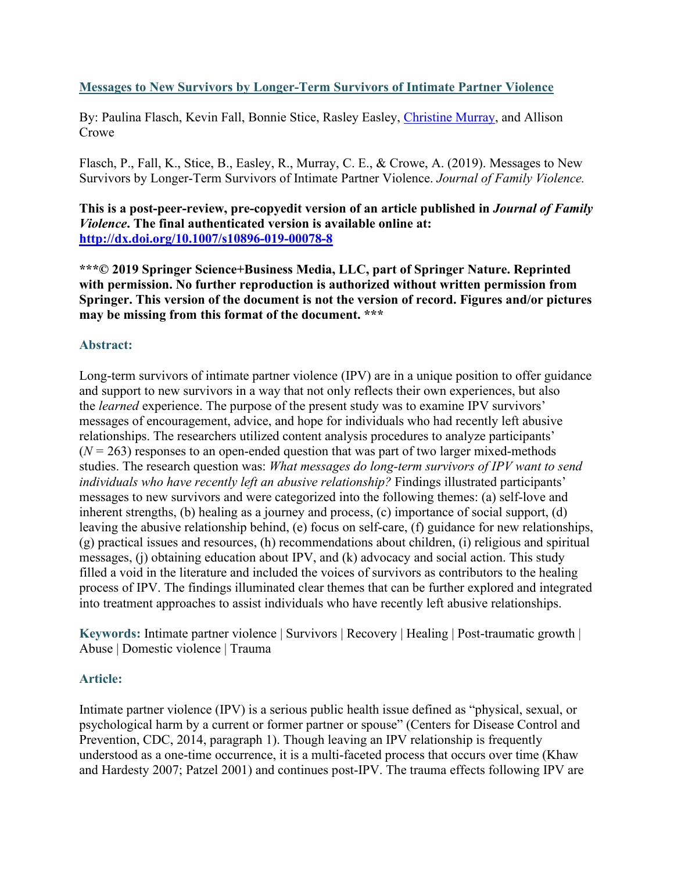### **Messages to New Survivors by Longer-Term Survivors of Intimate Partner Violence**

By: Paulina Flasch, Kevin Fall, Bonnie Stice, Rasley Easley, [Christine Murray,](http://libres.uncg.edu/ir/uncg/clist.aspx?id=894) and Allison Crowe

Flasch, P., Fall, K., Stice, B., Easley, R., Murray, C. E., & Crowe, A. (2019). Messages to New Survivors by Longer-Term Survivors of Intimate Partner Violence. *Journal of Family Violence.*

**This is a post-peer-review, pre-copyedit version of an article published in** *Journal of Family Violence***. The final authenticated version is available online at: <http://dx.doi.org/10.1007/s10896-019-00078-8>**

**\*\*\*© 2019 Springer Science+Business Media, LLC, part of Springer Nature. Reprinted with permission. No further reproduction is authorized without written permission from Springer. This version of the document is not the version of record. Figures and/or pictures may be missing from this format of the document. \*\*\***

### **Abstract:**

Long-term survivors of intimate partner violence (IPV) are in a unique position to offer guidance and support to new survivors in a way that not only reflects their own experiences, but also the *learned* experience. The purpose of the present study was to examine IPV survivors' messages of encouragement, advice, and hope for individuals who had recently left abusive relationships. The researchers utilized content analysis procedures to analyze participants'  $(N = 263)$  responses to an open-ended question that was part of two larger mixed-methods studies. The research question was: *What messages do long-term survivors of IPV want to send individuals who have recently left an abusive relationship?* Findings illustrated participants' messages to new survivors and were categorized into the following themes: (a) self-love and inherent strengths, (b) healing as a journey and process, (c) importance of social support, (d) leaving the abusive relationship behind, (e) focus on self-care, (f) guidance for new relationships, (g) practical issues and resources, (h) recommendations about children, (i) religious and spiritual messages, (j) obtaining education about IPV, and (k) advocacy and social action. This study filled a void in the literature and included the voices of survivors as contributors to the healing process of IPV. The findings illuminated clear themes that can be further explored and integrated into treatment approaches to assist individuals who have recently left abusive relationships.

**Keywords:** Intimate partner violence | Survivors | Recovery | Healing | Post-traumatic growth | Abuse | Domestic violence | Trauma

## **Article:**

Intimate partner violence (IPV) is a serious public health issue defined as "physical, sexual, or psychological harm by a current or former partner or spouse" (Centers for Disease Control and Prevention, CDC, 2014, paragraph 1). Though leaving an IPV relationship is frequently understood as a one-time occurrence, it is a multi-faceted process that occurs over time (Khaw and Hardesty 2007; Patzel 2001) and continues post-IPV. The trauma effects following IPV are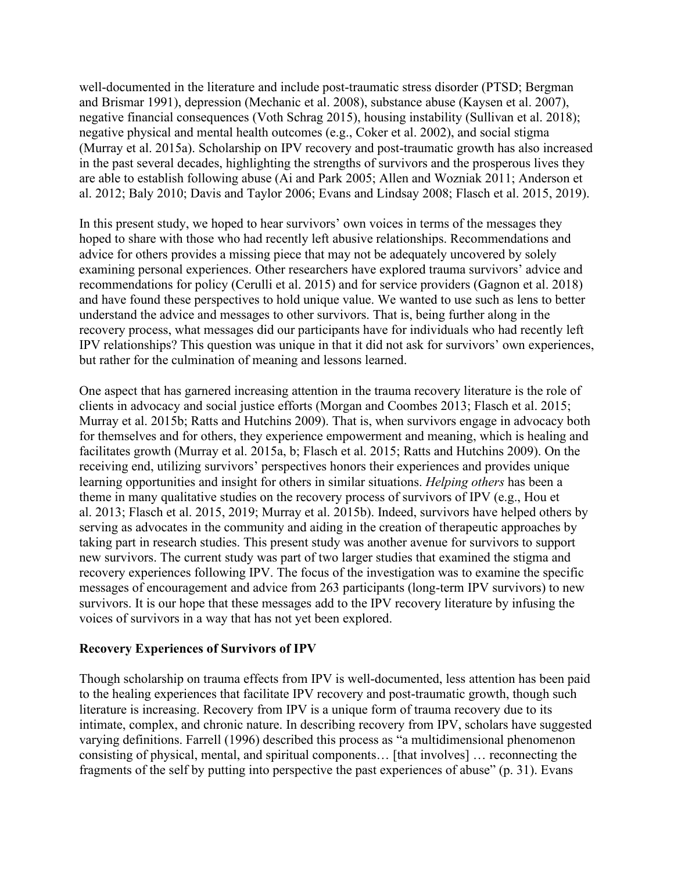well-documented in the literature and include post-traumatic stress disorder (PTSD; Bergman and Brismar 1991), depression (Mechanic et al. 2008), substance abuse (Kaysen et al. 2007), negative financial consequences (Voth Schrag 2015), housing instability (Sullivan et al. 2018); negative physical and mental health outcomes (e.g., Coker et al. 2002), and social stigma (Murray et al. 2015a). Scholarship on IPV recovery and post-traumatic growth has also increased in the past several decades, highlighting the strengths of survivors and the prosperous lives they are able to establish following abuse (Ai and Park 2005; Allen and Wozniak 2011; Anderson et al. 2012; Baly 2010; Davis and Taylor 2006; Evans and Lindsay 2008; Flasch et al. 2015, 2019).

In this present study, we hoped to hear survivors' own voices in terms of the messages they hoped to share with those who had recently left abusive relationships. Recommendations and advice for others provides a missing piece that may not be adequately uncovered by solely examining personal experiences. Other researchers have explored trauma survivors' advice and recommendations for policy (Cerulli et al. 2015) and for service providers (Gagnon et al. 2018) and have found these perspectives to hold unique value. We wanted to use such as lens to better understand the advice and messages to other survivors. That is, being further along in the recovery process, what messages did our participants have for individuals who had recently left IPV relationships? This question was unique in that it did not ask for survivors' own experiences, but rather for the culmination of meaning and lessons learned.

One aspect that has garnered increasing attention in the trauma recovery literature is the role of clients in advocacy and social justice efforts (Morgan and Coombes 2013; Flasch et al. 2015; Murray et al. 2015b; Ratts and Hutchins 2009). That is, when survivors engage in advocacy both for themselves and for others, they experience empowerment and meaning, which is healing and facilitates growth (Murray et al. 2015a, b; Flasch et al. 2015; Ratts and Hutchins 2009). On the receiving end, utilizing survivors' perspectives honors their experiences and provides unique learning opportunities and insight for others in similar situations. *Helping others* has been a theme in many qualitative studies on the recovery process of survivors of IPV (e.g., Hou et al. 2013; Flasch et al. 2015, 2019; Murray et al. 2015b). Indeed, survivors have helped others by serving as advocates in the community and aiding in the creation of therapeutic approaches by taking part in research studies. This present study was another avenue for survivors to support new survivors. The current study was part of two larger studies that examined the stigma and recovery experiences following IPV. The focus of the investigation was to examine the specific messages of encouragement and advice from 263 participants (long-term IPV survivors) to new survivors. It is our hope that these messages add to the IPV recovery literature by infusing the voices of survivors in a way that has not yet been explored.

## **Recovery Experiences of Survivors of IPV**

Though scholarship on trauma effects from IPV is well-documented, less attention has been paid to the healing experiences that facilitate IPV recovery and post-traumatic growth, though such literature is increasing. Recovery from IPV is a unique form of trauma recovery due to its intimate, complex, and chronic nature. In describing recovery from IPV, scholars have suggested varying definitions. Farrell (1996) described this process as "a multidimensional phenomenon consisting of physical, mental, and spiritual components… [that involves] … reconnecting the fragments of the self by putting into perspective the past experiences of abuse" (p. 31). Evans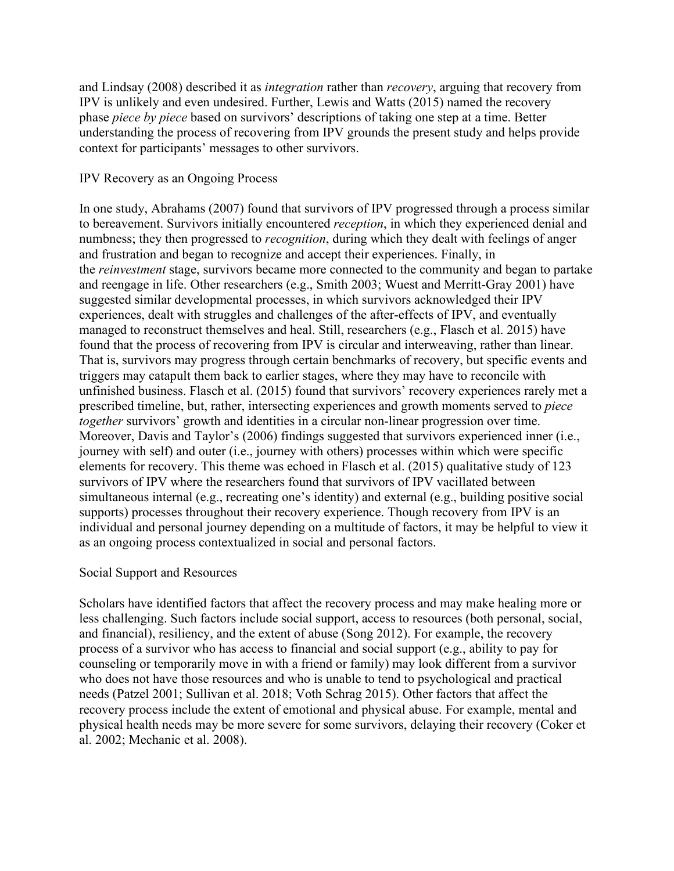and Lindsay (2008) described it as *integration* rather than *recovery*, arguing that recovery from IPV is unlikely and even undesired. Further, Lewis and Watts (2015) named the recovery phase *piece by piece* based on survivors' descriptions of taking one step at a time. Better understanding the process of recovering from IPV grounds the present study and helps provide context for participants' messages to other survivors.

#### IPV Recovery as an Ongoing Process

In one study, Abrahams (2007) found that survivors of IPV progressed through a process similar to bereavement. Survivors initially encountered *reception*, in which they experienced denial and numbness; they then progressed to *recognition*, during which they dealt with feelings of anger and frustration and began to recognize and accept their experiences. Finally, in the *reinvestment* stage, survivors became more connected to the community and began to partake and reengage in life. Other researchers (e.g., Smith 2003; Wuest and Merritt-Gray 2001) have suggested similar developmental processes, in which survivors acknowledged their IPV experiences, dealt with struggles and challenges of the after-effects of IPV, and eventually managed to reconstruct themselves and heal. Still, researchers (e.g., Flasch et al. 2015) have found that the process of recovering from IPV is circular and interweaving, rather than linear. That is, survivors may progress through certain benchmarks of recovery, but specific events and triggers may catapult them back to earlier stages, where they may have to reconcile with unfinished business. Flasch et al. (2015) found that survivors' recovery experiences rarely met a prescribed timeline, but, rather, intersecting experiences and growth moments served to *piece together* survivors' growth and identities in a circular non-linear progression over time. Moreover, Davis and Taylor's (2006) findings suggested that survivors experienced inner (i.e., journey with self) and outer (i.e., journey with others) processes within which were specific elements for recovery. This theme was echoed in Flasch et al. (2015) qualitative study of 123 survivors of IPV where the researchers found that survivors of IPV vacillated between simultaneous internal (e.g., recreating one's identity) and external (e.g., building positive social supports) processes throughout their recovery experience. Though recovery from IPV is an individual and personal journey depending on a multitude of factors, it may be helpful to view it as an ongoing process contextualized in social and personal factors.

#### Social Support and Resources

Scholars have identified factors that affect the recovery process and may make healing more or less challenging. Such factors include social support, access to resources (both personal, social, and financial), resiliency, and the extent of abuse (Song 2012). For example, the recovery process of a survivor who has access to financial and social support (e.g., ability to pay for counseling or temporarily move in with a friend or family) may look different from a survivor who does not have those resources and who is unable to tend to psychological and practical needs (Patzel 2001; Sullivan et al. 2018; Voth Schrag 2015). Other factors that affect the recovery process include the extent of emotional and physical abuse. For example, mental and physical health needs may be more severe for some survivors, delaying their recovery (Coker et al. 2002; Mechanic et al. 2008).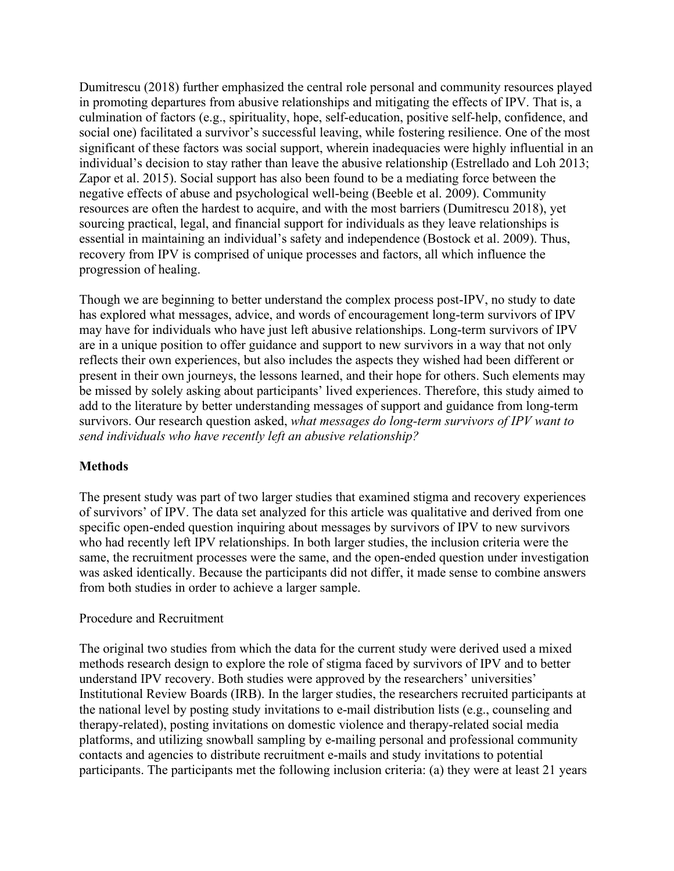Dumitrescu (2018) further emphasized the central role personal and community resources played in promoting departures from abusive relationships and mitigating the effects of IPV. That is, a culmination of factors (e.g., spirituality, hope, self-education, positive self-help, confidence, and social one) facilitated a survivor's successful leaving, while fostering resilience. One of the most significant of these factors was social support, wherein inadequacies were highly influential in an individual's decision to stay rather than leave the abusive relationship (Estrellado and Loh 2013; Zapor et al. 2015). Social support has also been found to be a mediating force between the negative effects of abuse and psychological well-being (Beeble et al. 2009). Community resources are often the hardest to acquire, and with the most barriers (Dumitrescu 2018), yet sourcing practical, legal, and financial support for individuals as they leave relationships is essential in maintaining an individual's safety and independence (Bostock et al. 2009). Thus, recovery from IPV is comprised of unique processes and factors, all which influence the progression of healing.

Though we are beginning to better understand the complex process post-IPV, no study to date has explored what messages, advice, and words of encouragement long-term survivors of IPV may have for individuals who have just left abusive relationships. Long-term survivors of IPV are in a unique position to offer guidance and support to new survivors in a way that not only reflects their own experiences, but also includes the aspects they wished had been different or present in their own journeys, the lessons learned, and their hope for others. Such elements may be missed by solely asking about participants' lived experiences. Therefore, this study aimed to add to the literature by better understanding messages of support and guidance from long-term survivors. Our research question asked, *what messages do long-term survivors of IPV want to send individuals who have recently left an abusive relationship?*

## **Methods**

The present study was part of two larger studies that examined stigma and recovery experiences of survivors' of IPV. The data set analyzed for this article was qualitative and derived from one specific open-ended question inquiring about messages by survivors of IPV to new survivors who had recently left IPV relationships. In both larger studies, the inclusion criteria were the same, the recruitment processes were the same, and the open-ended question under investigation was asked identically. Because the participants did not differ, it made sense to combine answers from both studies in order to achieve a larger sample.

### Procedure and Recruitment

The original two studies from which the data for the current study were derived used a mixed methods research design to explore the role of stigma faced by survivors of IPV and to better understand IPV recovery. Both studies were approved by the researchers' universities' Institutional Review Boards (IRB). In the larger studies, the researchers recruited participants at the national level by posting study invitations to e-mail distribution lists (e.g., counseling and therapy-related), posting invitations on domestic violence and therapy-related social media platforms, and utilizing snowball sampling by e-mailing personal and professional community contacts and agencies to distribute recruitment e-mails and study invitations to potential participants. The participants met the following inclusion criteria: (a) they were at least 21 years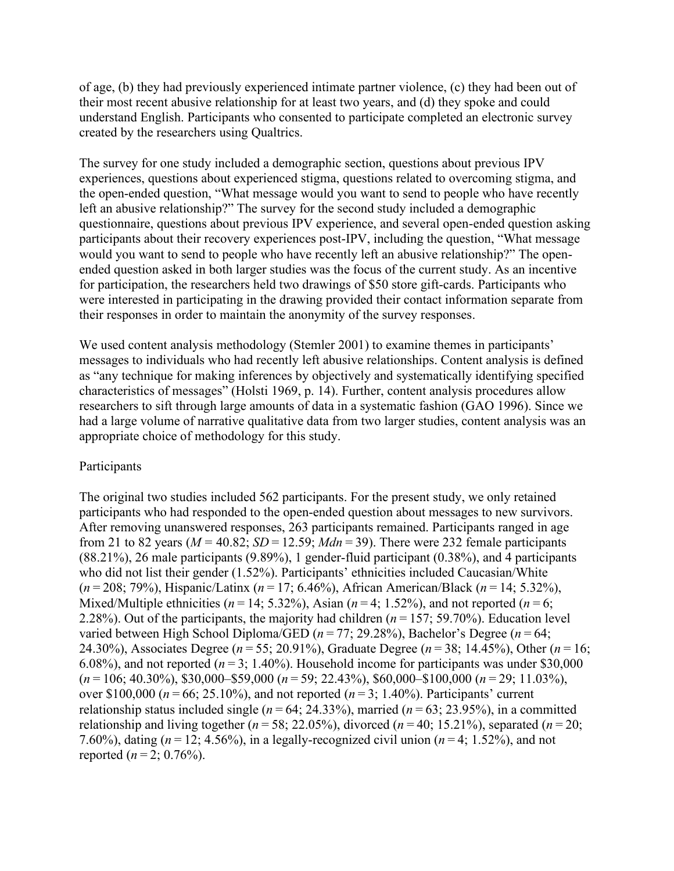of age, (b) they had previously experienced intimate partner violence, (c) they had been out of their most recent abusive relationship for at least two years, and (d) they spoke and could understand English. Participants who consented to participate completed an electronic survey created by the researchers using Qualtrics.

The survey for one study included a demographic section, questions about previous IPV experiences, questions about experienced stigma, questions related to overcoming stigma, and the open-ended question, "What message would you want to send to people who have recently left an abusive relationship?" The survey for the second study included a demographic questionnaire, questions about previous IPV experience, and several open-ended question asking participants about their recovery experiences post-IPV, including the question, "What message would you want to send to people who have recently left an abusive relationship?" The openended question asked in both larger studies was the focus of the current study. As an incentive for participation, the researchers held two drawings of \$50 store gift-cards. Participants who were interested in participating in the drawing provided their contact information separate from their responses in order to maintain the anonymity of the survey responses.

We used content analysis methodology (Stemler 2001) to examine themes in participants' messages to individuals who had recently left abusive relationships. Content analysis is defined as "any technique for making inferences by objectively and systematically identifying specified characteristics of messages" (Holsti 1969, p. 14). Further, content analysis procedures allow researchers to sift through large amounts of data in a systematic fashion (GAO 1996). Since we had a large volume of narrative qualitative data from two larger studies, content analysis was an appropriate choice of methodology for this study.

### Participants

The original two studies included 562 participants. For the present study, we only retained participants who had responded to the open-ended question about messages to new survivors. After removing unanswered responses, 263 participants remained. Participants ranged in age from 21 to 82 years ( $M = 40.82$ ;  $SD = 12.59$ ;  $Mdn = 39$ ). There were 232 female participants (88.21%), 26 male participants (9.89%), 1 gender-fluid participant (0.38%), and 4 participants who did not list their gender (1.52%). Participants' ethnicities included Caucasian/White (*n* = 208; 79%), Hispanic/Latinx (*n* = 17; 6.46%), African American/Black (*n* = 14; 5.32%), Mixed/Multiple ethnicities ( $n = 14$ ; 5.32%), Asian ( $n = 4$ ; 1.52%), and not reported ( $n = 6$ ; 2.28%). Out of the participants, the majority had children  $(n = 157; 59.70\%)$ . Education level varied between High School Diploma/GED (*n* = 77; 29.28%), Bachelor's Degree (*n* = 64; 24.30%), Associates Degree (*n* = 55; 20.91%), Graduate Degree (*n* = 38; 14.45%), Other (*n* = 16; 6.08%), and not reported ( $n=3$ ; 1.40%). Household income for participants was under \$30,000 (*n* = 106; 40.30%), \$30,000–\$59,000 (*n* = 59; 22.43%), \$60,000–\$100,000 (*n* = 29; 11.03%), over \$100,000 ( $n = 66$ ; 25.10%), and not reported ( $n = 3$ ; 1.40%). Participants' current relationship status included single ( $n = 64$ ; 24.33%), married ( $n = 63$ ; 23.95%), in a committed relationship and living together ( $n = 58$ ; 22.05%), divorced ( $n = 40$ ; 15.21%), separated ( $n = 20$ ; 7.60%), dating  $(n=12; 4.56\%)$ , in a legally-recognized civil union  $(n=4; 1.52\%)$ , and not reported  $(n = 2; 0.76\%)$ .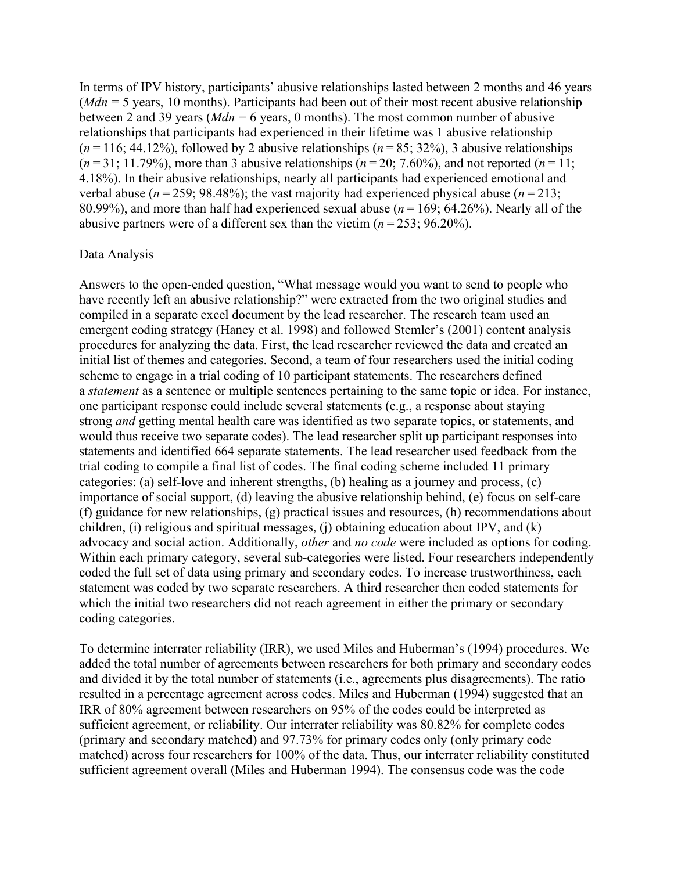In terms of IPV history, participants' abusive relationships lasted between 2 months and 46 years (*Mdn =* 5 years, 10 months). Participants had been out of their most recent abusive relationship between 2 and 39 years (*Mdn =* 6 years, 0 months). The most common number of abusive relationships that participants had experienced in their lifetime was 1 abusive relationship  $(n=116; 44.12\%)$ , followed by 2 abusive relationships  $(n=85; 32\%)$ , 3 abusive relationships  $(n=31; 11.79\%)$ , more than 3 abusive relationships  $(n=20; 7.60\%)$ , and not reported  $(n=11;$ 4.18%). In their abusive relationships, nearly all participants had experienced emotional and verbal abuse ( $n = 259$ ; 98.48%); the vast majority had experienced physical abuse ( $n = 213$ ; 80.99%), and more than half had experienced sexual abuse  $(n = 169; 64.26\%)$ . Nearly all of the abusive partners were of a different sex than the victim  $(n = 253; 96.20\%)$ .

#### Data Analysis

Answers to the open-ended question, "What message would you want to send to people who have recently left an abusive relationship?" were extracted from the two original studies and compiled in a separate excel document by the lead researcher. The research team used an emergent coding strategy (Haney et al. 1998) and followed Stemler's (2001) content analysis procedures for analyzing the data. First, the lead researcher reviewed the data and created an initial list of themes and categories. Second, a team of four researchers used the initial coding scheme to engage in a trial coding of 10 participant statements. The researchers defined a *statement* as a sentence or multiple sentences pertaining to the same topic or idea. For instance, one participant response could include several statements (e.g., a response about staying strong *and* getting mental health care was identified as two separate topics, or statements, and would thus receive two separate codes). The lead researcher split up participant responses into statements and identified 664 separate statements. The lead researcher used feedback from the trial coding to compile a final list of codes. The final coding scheme included 11 primary categories: (a) self-love and inherent strengths, (b) healing as a journey and process, (c) importance of social support, (d) leaving the abusive relationship behind, (e) focus on self-care (f) guidance for new relationships, (g) practical issues and resources, (h) recommendations about children, (i) religious and spiritual messages, (j) obtaining education about IPV, and (k) advocacy and social action. Additionally, *other* and *no code* were included as options for coding. Within each primary category, several sub-categories were listed. Four researchers independently coded the full set of data using primary and secondary codes. To increase trustworthiness, each statement was coded by two separate researchers. A third researcher then coded statements for which the initial two researchers did not reach agreement in either the primary or secondary coding categories.

To determine interrater reliability (IRR), we used Miles and Huberman's (1994) procedures. We added the total number of agreements between researchers for both primary and secondary codes and divided it by the total number of statements (i.e., agreements plus disagreements). The ratio resulted in a percentage agreement across codes. Miles and Huberman (1994) suggested that an IRR of 80% agreement between researchers on 95% of the codes could be interpreted as sufficient agreement, or reliability. Our interrater reliability was 80.82% for complete codes (primary and secondary matched) and 97.73% for primary codes only (only primary code matched) across four researchers for 100% of the data. Thus, our interrater reliability constituted sufficient agreement overall (Miles and Huberman 1994). The consensus code was the code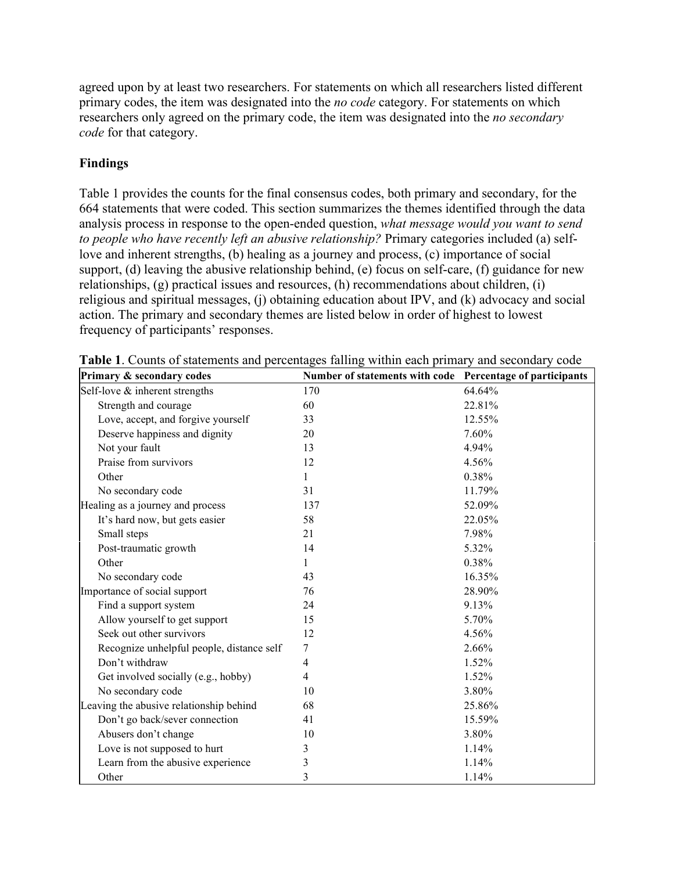agreed upon by at least two researchers. For statements on which all researchers listed different primary codes, the item was designated into the *no code* category. For statements on which researchers only agreed on the primary code, the item was designated into the *no secondary code* for that category.

# **Findings**

Table 1 provides the counts for the final consensus codes, both primary and secondary, for the 664 statements that were coded. This section summarizes the themes identified through the data analysis process in response to the open-ended question, *what message would you want to send to people who have recently left an abusive relationship?* Primary categories included (a) selflove and inherent strengths, (b) healing as a journey and process, (c) importance of social support, (d) leaving the abusive relationship behind, (e) focus on self-care, (f) guidance for new relationships, (g) practical issues and resources, (h) recommendations about children, (i) religious and spiritual messages, (j) obtaining education about IPV, and (k) advocacy and social action. The primary and secondary themes are listed below in order of highest to lowest frequency of participants' responses.

| Primary & secondary codes                 | Number of statements with code Percentage of participants |        |
|-------------------------------------------|-----------------------------------------------------------|--------|
| Self-love & inherent strengths            | 170                                                       | 64.64% |
| Strength and courage                      | 60                                                        | 22.81% |
| Love, accept, and forgive yourself        | 33                                                        | 12.55% |
| Deserve happiness and dignity             | 20                                                        | 7.60%  |
| Not your fault                            | 13                                                        | 4.94%  |
| Praise from survivors                     | 12                                                        | 4.56%  |
| Other                                     | 1                                                         | 0.38%  |
| No secondary code                         | 31                                                        | 11.79% |
| Healing as a journey and process          | 137                                                       | 52.09% |
| It's hard now, but gets easier            | 58                                                        | 22.05% |
| Small steps                               | 21                                                        | 7.98%  |
| Post-traumatic growth                     | 14                                                        | 5.32%  |
| Other                                     | 1                                                         | 0.38%  |
| No secondary code                         | 43                                                        | 16.35% |
| Importance of social support              | 76                                                        | 28.90% |
| Find a support system                     | 24                                                        | 9.13%  |
| Allow yourself to get support             | 15                                                        | 5.70%  |
| Seek out other survivors                  | 12                                                        | 4.56%  |
| Recognize unhelpful people, distance self | 7                                                         | 2.66%  |
| Don't withdraw                            | 4                                                         | 1.52%  |
| Get involved socially (e.g., hobby)       | 4                                                         | 1.52%  |
| No secondary code                         | 10                                                        | 3.80%  |
| Leaving the abusive relationship behind   | 68                                                        | 25.86% |
| Don't go back/sever connection            | 41                                                        | 15.59% |
| Abusers don't change                      | 10                                                        | 3.80%  |
| Love is not supposed to hurt              | 3                                                         | 1.14%  |
| Learn from the abusive experience         | 3                                                         | 1.14%  |
| Other                                     | 3                                                         | 1.14%  |

**Table 1**. Counts of statements and percentages falling within each primary and secondary code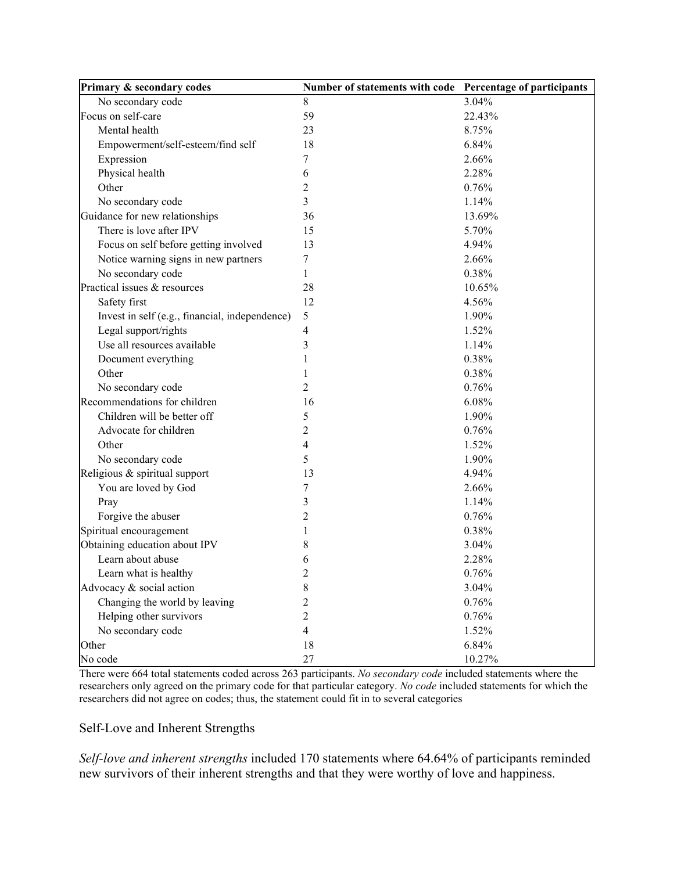| Primary & secondary codes                      | Number of statements with code Percentage of participants |        |
|------------------------------------------------|-----------------------------------------------------------|--------|
| No secondary code                              | 8                                                         | 3.04%  |
| Focus on self-care                             | 59                                                        | 22.43% |
| Mental health                                  | 23                                                        | 8.75%  |
| Empowerment/self-esteem/find self              | 18                                                        | 6.84%  |
| Expression                                     | 7                                                         | 2.66%  |
| Physical health                                | 6                                                         | 2.28%  |
| Other                                          | $\overline{\mathbf{c}}$                                   | 0.76%  |
| No secondary code                              | 3                                                         | 1.14%  |
| Guidance for new relationships                 | 36                                                        | 13.69% |
| There is love after IPV                        | 15                                                        | 5.70%  |
| Focus on self before getting involved          | 13                                                        | 4.94%  |
| Notice warning signs in new partners           | 7                                                         | 2.66%  |
| No secondary code                              | 1                                                         | 0.38%  |
| Practical issues & resources                   | 28                                                        | 10.65% |
| Safety first                                   | 12                                                        | 4.56%  |
| Invest in self (e.g., financial, independence) | 5                                                         | 1.90%  |
| Legal support/rights                           | $\overline{4}$                                            | 1.52%  |
| Use all resources available                    | 3                                                         | 1.14%  |
| Document everything                            | 1                                                         | 0.38%  |
| Other                                          | 1                                                         | 0.38%  |
| No secondary code                              | 2                                                         | 0.76%  |
| Recommendations for children                   | 16                                                        | 6.08%  |
| Children will be better off                    | 5                                                         | 1.90%  |
| Advocate for children                          | 2                                                         | 0.76%  |
| Other                                          | 4                                                         | 1.52%  |
| No secondary code                              | 5                                                         | 1.90%  |
| Religious & spiritual support                  | 13                                                        | 4.94%  |
| You are loved by God                           | 7                                                         | 2.66%  |
| Pray                                           | 3                                                         | 1.14%  |
| Forgive the abuser                             | 2                                                         | 0.76%  |
| Spiritual encouragement                        | 1                                                         | 0.38%  |
| Obtaining education about IPV                  | 8                                                         | 3.04%  |
| Learn about abuse                              | 6                                                         | 2.28%  |
| Learn what is healthy                          | $\overline{\mathbf{c}}$                                   | 0.76%  |
| Advocacy & social action                       | 8                                                         | 3.04%  |
| Changing the world by leaving                  | 2                                                         | 0.76%  |
| Helping other survivors                        | $\overline{2}$                                            | 0.76%  |
| No secondary code                              | $\overline{4}$                                            | 1.52%  |
| Other                                          | 18                                                        | 6.84%  |
| No code                                        | 27                                                        | 10.27% |

There were 664 total statements coded across 263 participants. *No secondary code* included statements where the researchers only agreed on the primary code for that particular category. *No code* included statements for which the researchers did not agree on codes; thus, the statement could fit in to several categories

## Self-Love and Inherent Strengths

*Self-love and inherent strengths* included 170 statements where 64.64% of participants reminded new survivors of their inherent strengths and that they were worthy of love and happiness.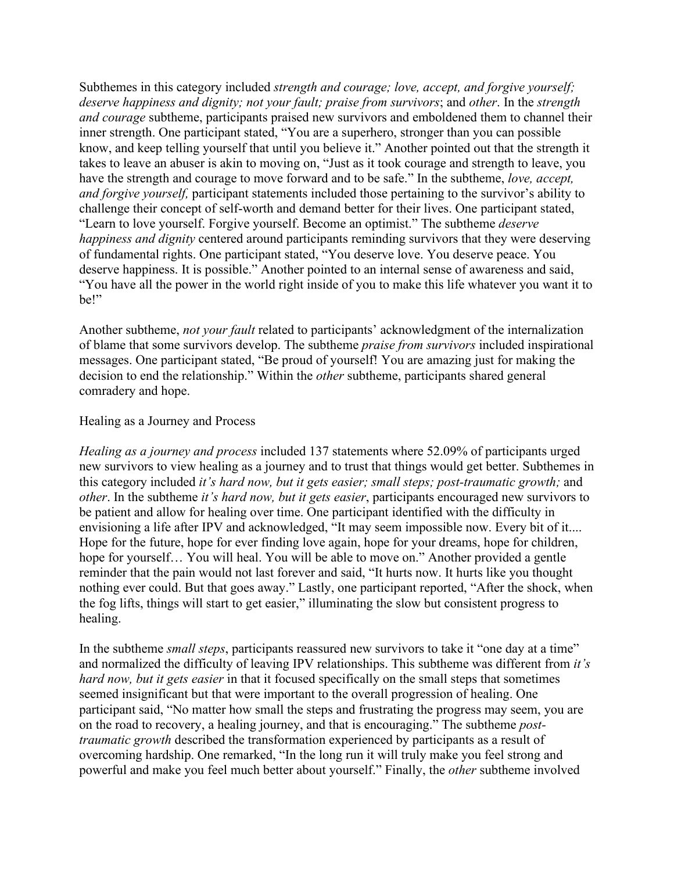Subthemes in this category included *strength and courage; love, accept, and forgive yourself; deserve happiness and dignity; not your fault; praise from survivors*; and *other*. In the *strength and courage* subtheme, participants praised new survivors and emboldened them to channel their inner strength. One participant stated, "You are a superhero, stronger than you can possible know, and keep telling yourself that until you believe it." Another pointed out that the strength it takes to leave an abuser is akin to moving on, "Just as it took courage and strength to leave, you have the strength and courage to move forward and to be safe." In the subtheme, *love, accept, and forgive yourself,* participant statements included those pertaining to the survivor's ability to challenge their concept of self-worth and demand better for their lives. One participant stated, "Learn to love yourself. Forgive yourself. Become an optimist." The subtheme *deserve happiness and dignity* centered around participants reminding survivors that they were deserving of fundamental rights. One participant stated, "You deserve love. You deserve peace. You deserve happiness. It is possible." Another pointed to an internal sense of awareness and said, "You have all the power in the world right inside of you to make this life whatever you want it to be!"

Another subtheme, *not your fault* related to participants' acknowledgment of the internalization of blame that some survivors develop. The subtheme *praise from survivors* included inspirational messages. One participant stated, "Be proud of yourself! You are amazing just for making the decision to end the relationship." Within the *other* subtheme, participants shared general comradery and hope.

### Healing as a Journey and Process

*Healing as a journey and process* included 137 statements where 52.09% of participants urged new survivors to view healing as a journey and to trust that things would get better. Subthemes in this category included *it's hard now, but it gets easier; small steps; post-traumatic growth;* and *other*. In the subtheme *it's hard now, but it gets easier*, participants encouraged new survivors to be patient and allow for healing over time. One participant identified with the difficulty in envisioning a life after IPV and acknowledged, "It may seem impossible now. Every bit of it.... Hope for the future, hope for ever finding love again, hope for your dreams, hope for children, hope for yourself… You will heal. You will be able to move on." Another provided a gentle reminder that the pain would not last forever and said, "It hurts now. It hurts like you thought nothing ever could. But that goes away." Lastly, one participant reported, "After the shock, when the fog lifts, things will start to get easier," illuminating the slow but consistent progress to healing.

In the subtheme *small steps*, participants reassured new survivors to take it "one day at a time" and normalized the difficulty of leaving IPV relationships. This subtheme was different from *it's hard now, but it gets easier* in that it focused specifically on the small steps that sometimes seemed insignificant but that were important to the overall progression of healing. One participant said, "No matter how small the steps and frustrating the progress may seem, you are on the road to recovery, a healing journey, and that is encouraging." The subtheme *posttraumatic growth* described the transformation experienced by participants as a result of overcoming hardship. One remarked, "In the long run it will truly make you feel strong and powerful and make you feel much better about yourself." Finally, the *other* subtheme involved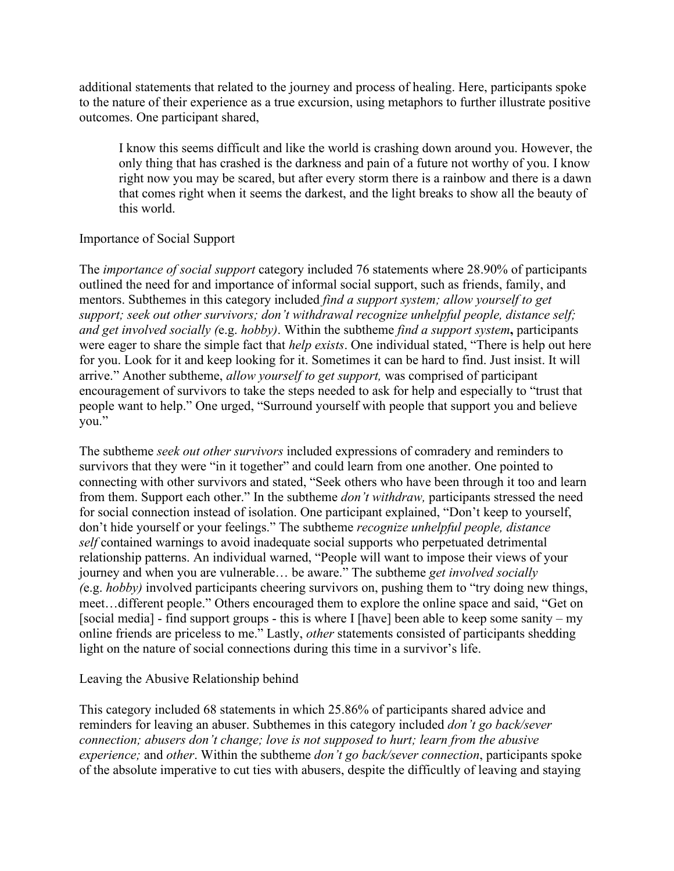additional statements that related to the journey and process of healing. Here, participants spoke to the nature of their experience as a true excursion, using metaphors to further illustrate positive outcomes. One participant shared,

I know this seems difficult and like the world is crashing down around you. However, the only thing that has crashed is the darkness and pain of a future not worthy of you. I know right now you may be scared, but after every storm there is a rainbow and there is a dawn that comes right when it seems the darkest, and the light breaks to show all the beauty of this world.

### Importance of Social Support

The *importance of social support* category included 76 statements where 28.90% of participants outlined the need for and importance of informal social support, such as friends, family, and mentors. Subthemes in this category included *find a support system; allow yourself to get support; seek out other survivors; don't withdrawal recognize unhelpful people, distance self; and get involved socially (*e.g. *hobby)*. Within the subtheme *find a support system***,** participants were eager to share the simple fact that *help exists*. One individual stated, "There is help out here for you. Look for it and keep looking for it. Sometimes it can be hard to find. Just insist. It will arrive." Another subtheme, *allow yourself to get support,* was comprised of participant encouragement of survivors to take the steps needed to ask for help and especially to "trust that people want to help." One urged, "Surround yourself with people that support you and believe you."

The subtheme *seek out other survivors* included expressions of comradery and reminders to survivors that they were "in it together" and could learn from one another. One pointed to connecting with other survivors and stated, "Seek others who have been through it too and learn from them. Support each other." In the subtheme *don't withdraw,* participants stressed the need for social connection instead of isolation. One participant explained, "Don't keep to yourself, don't hide yourself or your feelings." The subtheme *recognize unhelpful people, distance self* contained warnings to avoid inadequate social supports who perpetuated detrimental relationship patterns. An individual warned, "People will want to impose their views of your journey and when you are vulnerable… be aware." The subtheme *get involved socially (*e.g. *hobby)* involved participants cheering survivors on, pushing them to "try doing new things, meet…different people." Others encouraged them to explore the online space and said, "Get on [social media] - find support groups - this is where I [have] been able to keep some sanity – my online friends are priceless to me." Lastly, *other* statements consisted of participants shedding light on the nature of social connections during this time in a survivor's life.

### Leaving the Abusive Relationship behind

This category included 68 statements in which 25.86% of participants shared advice and reminders for leaving an abuser. Subthemes in this category included *don't go back/sever connection; abusers don't change; love is not supposed to hurt; learn from the abusive experience;* and *other*. Within the subtheme *don't go back/sever connection*, participants spoke of the absolute imperative to cut ties with abusers, despite the difficultly of leaving and staying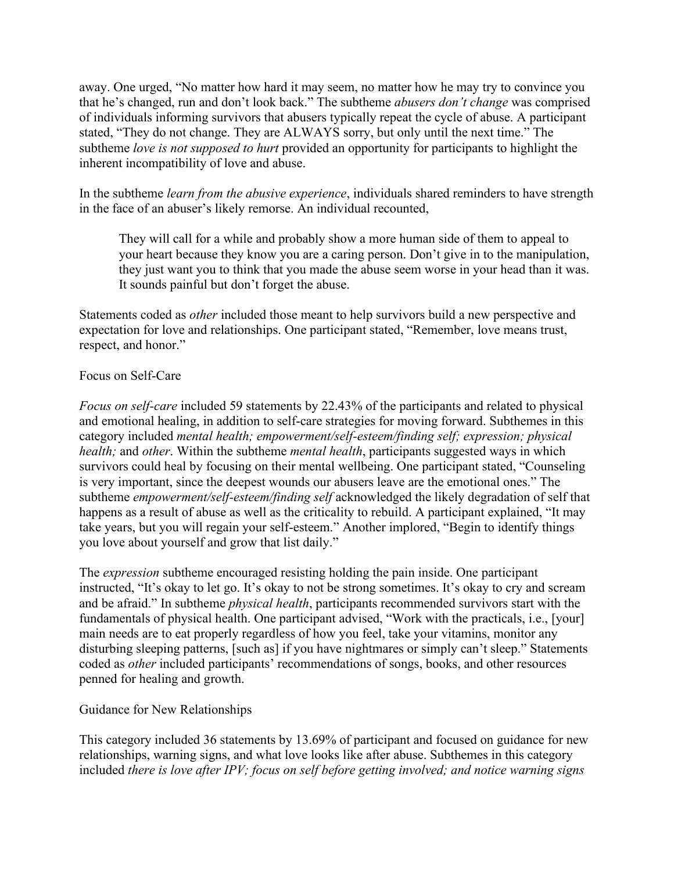away. One urged, "No matter how hard it may seem, no matter how he may try to convince you that he's changed, run and don't look back." The subtheme *abusers don't change* was comprised of individuals informing survivors that abusers typically repeat the cycle of abuse. A participant stated, "They do not change. They are ALWAYS sorry, but only until the next time." The subtheme *love is not supposed to hurt* provided an opportunity for participants to highlight the inherent incompatibility of love and abuse.

In the subtheme *learn from the abusive experience*, individuals shared reminders to have strength in the face of an abuser's likely remorse. An individual recounted,

They will call for a while and probably show a more human side of them to appeal to your heart because they know you are a caring person. Don't give in to the manipulation, they just want you to think that you made the abuse seem worse in your head than it was. It sounds painful but don't forget the abuse.

Statements coded as *other* included those meant to help survivors build a new perspective and expectation for love and relationships. One participant stated, "Remember, love means trust, respect, and honor."

### Focus on Self-Care

*Focus on self-care* included 59 statements by 22.43% of the participants and related to physical and emotional healing, in addition to self-care strategies for moving forward. Subthemes in this category included *mental health; empowerment/self-esteem/finding self; expression; physical health;* and *other*. Within the subtheme *mental health*, participants suggested ways in which survivors could heal by focusing on their mental wellbeing. One participant stated, "Counseling is very important, since the deepest wounds our abusers leave are the emotional ones." The subtheme *empowerment/self-esteem/finding self* acknowledged the likely degradation of self that happens as a result of abuse as well as the criticality to rebuild. A participant explained, "It may take years, but you will regain your self-esteem." Another implored, "Begin to identify things you love about yourself and grow that list daily."

The *expression* subtheme encouraged resisting holding the pain inside. One participant instructed, "It's okay to let go. It's okay to not be strong sometimes. It's okay to cry and scream and be afraid." In subtheme *physical health*, participants recommended survivors start with the fundamentals of physical health. One participant advised, "Work with the practicals, i.e., [your] main needs are to eat properly regardless of how you feel, take your vitamins, monitor any disturbing sleeping patterns, [such as] if you have nightmares or simply can't sleep." Statements coded as *other* included participants' recommendations of songs, books, and other resources penned for healing and growth.

### Guidance for New Relationships

This category included 36 statements by 13.69% of participant and focused on guidance for new relationships, warning signs, and what love looks like after abuse. Subthemes in this category included *there is love after IPV; focus on self before getting involved; and notice warning signs*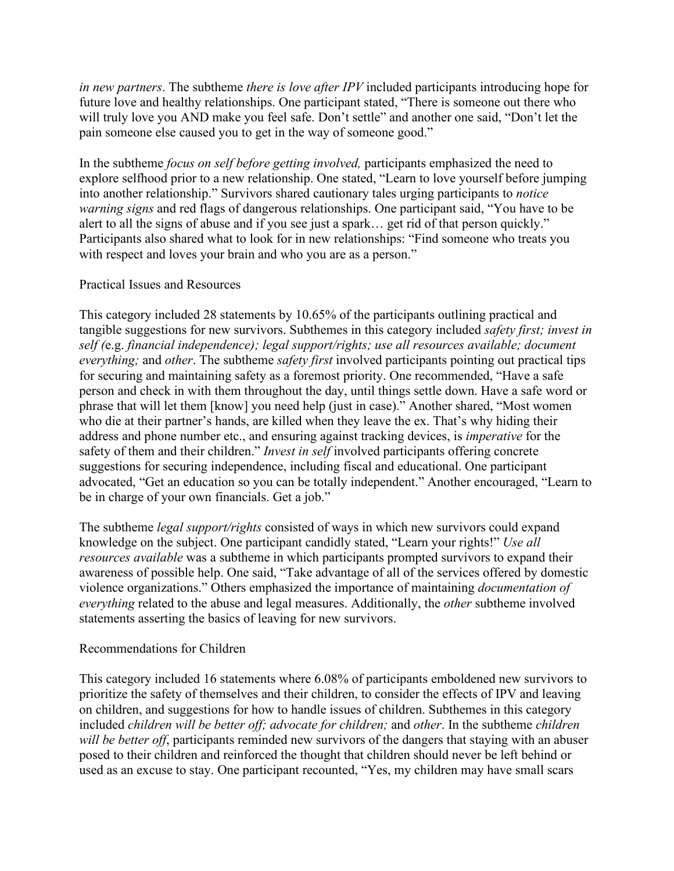*in new partners*. The subtheme *there is love after IPV* included participants introducing hope for future love and healthy relationships. One participant stated, "There is someone out there who will truly love you AND make you feel safe. Don't settle" and another one said, "Don't let the pain someone else caused you to get in the way of someone good."

In the subtheme *focus on self before getting involved,* participants emphasized the need to explore selfhood prior to a new relationship. One stated, "Learn to love yourself before jumping into another relationship." Survivors shared cautionary tales urging participants to *notice warning signs* and red flags of dangerous relationships. One participant said, "You have to be alert to all the signs of abuse and if you see just a spark… get rid of that person quickly." Participants also shared what to look for in new relationships: "Find someone who treats you with respect and loves your brain and who you are as a person."

### Practical Issues and Resources

This category included 28 statements by 10.65% of the participants outlining practical and tangible suggestions for new survivors. Subthemes in this category included *safety first; invest in self (*e.g. *financial independence); legal support/rights; use all resources available; document everything;* and *other*. The subtheme *safety first* involved participants pointing out practical tips for securing and maintaining safety as a foremost priority. One recommended, "Have a safe person and check in with them throughout the day, until things settle down. Have a safe word or phrase that will let them [know] you need help (just in case)." Another shared, "Most women who die at their partner's hands, are killed when they leave the ex. That's why hiding their address and phone number etc., and ensuring against tracking devices, is *imperative* for the safety of them and their children." *Invest in self* involved participants offering concrete suggestions for securing independence, including fiscal and educational. One participant advocated, "Get an education so you can be totally independent." Another encouraged, "Learn to be in charge of your own financials. Get a job."

The subtheme *legal support/rights* consisted of ways in which new survivors could expand knowledge on the subject. One participant candidly stated, "Learn your rights!" *Use all resources available* was a subtheme in which participants prompted survivors to expand their awareness of possible help. One said, "Take advantage of all of the services offered by domestic violence organizations." Others emphasized the importance of maintaining *documentation of everything* related to the abuse and legal measures. Additionally, the *other* subtheme involved statements asserting the basics of leaving for new survivors.

### Recommendations for Children

This category included 16 statements where 6.08% of participants emboldened new survivors to prioritize the safety of themselves and their children, to consider the effects of IPV and leaving on children, and suggestions for how to handle issues of children. Subthemes in this category included *children will be better off; advocate for children;* and *other*. In the subtheme *children will be better off*, participants reminded new survivors of the dangers that staying with an abuser posed to their children and reinforced the thought that children should never be left behind or used as an excuse to stay. One participant recounted, "Yes, my children may have small scars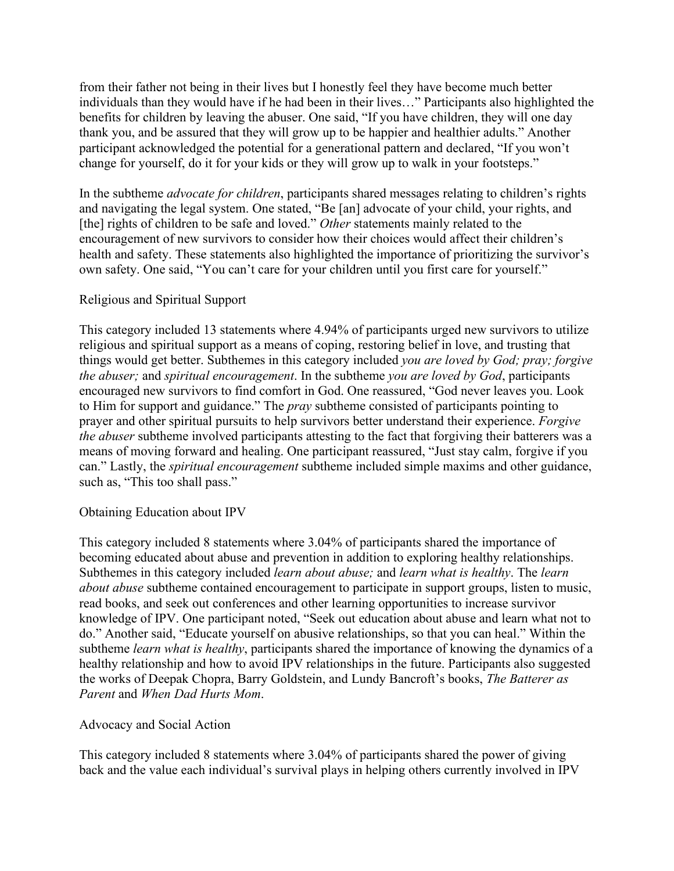from their father not being in their lives but I honestly feel they have become much better individuals than they would have if he had been in their lives…" Participants also highlighted the benefits for children by leaving the abuser. One said, "If you have children, they will one day thank you, and be assured that they will grow up to be happier and healthier adults." Another participant acknowledged the potential for a generational pattern and declared, "If you won't change for yourself, do it for your kids or they will grow up to walk in your footsteps."

In the subtheme *advocate for children*, participants shared messages relating to children's rights and navigating the legal system. One stated, "Be [an] advocate of your child, your rights, and [the] rights of children to be safe and loved." *Other* statements mainly related to the encouragement of new survivors to consider how their choices would affect their children's health and safety. These statements also highlighted the importance of prioritizing the survivor's own safety. One said, "You can't care for your children until you first care for yourself."

## Religious and Spiritual Support

This category included 13 statements where 4.94% of participants urged new survivors to utilize religious and spiritual support as a means of coping, restoring belief in love, and trusting that things would get better. Subthemes in this category included *you are loved by God; pray; forgive the abuser;* and *spiritual encouragement*. In the subtheme *you are loved by God*, participants encouraged new survivors to find comfort in God. One reassured, "God never leaves you. Look to Him for support and guidance." The *pray* subtheme consisted of participants pointing to prayer and other spiritual pursuits to help survivors better understand their experience. *Forgive the abuser* subtheme involved participants attesting to the fact that forgiving their batterers was a means of moving forward and healing. One participant reassured, "Just stay calm, forgive if you can." Lastly, the *spiritual encouragement* subtheme included simple maxims and other guidance, such as, "This too shall pass."

## Obtaining Education about IPV

This category included 8 statements where 3.04% of participants shared the importance of becoming educated about abuse and prevention in addition to exploring healthy relationships. Subthemes in this category included *learn about abuse;* and *learn what is healthy*. The *learn about abuse* subtheme contained encouragement to participate in support groups, listen to music, read books, and seek out conferences and other learning opportunities to increase survivor knowledge of IPV. One participant noted, "Seek out education about abuse and learn what not to do." Another said, "Educate yourself on abusive relationships, so that you can heal." Within the subtheme *learn what is healthy*, participants shared the importance of knowing the dynamics of a healthy relationship and how to avoid IPV relationships in the future. Participants also suggested the works of Deepak Chopra, Barry Goldstein, and Lundy Bancroft's books, *The Batterer as Parent* and *When Dad Hurts Mom*.

## Advocacy and Social Action

This category included 8 statements where 3.04% of participants shared the power of giving back and the value each individual's survival plays in helping others currently involved in IPV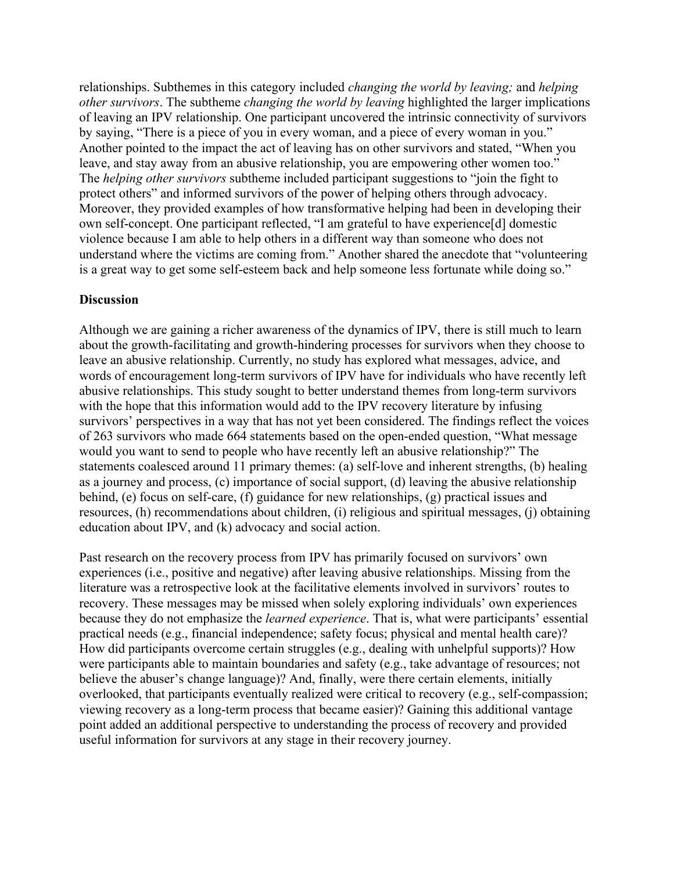relationships. Subthemes in this category included *changing the world by leaving;* and *helping other survivors*. The subtheme *changing the world by leaving* highlighted the larger implications of leaving an IPV relationship. One participant uncovered the intrinsic connectivity of survivors by saying, "There is a piece of you in every woman, and a piece of every woman in you." Another pointed to the impact the act of leaving has on other survivors and stated, "When you leave, and stay away from an abusive relationship, you are empowering other women too." The *helping other survivors* subtheme included participant suggestions to "join the fight to protect others" and informed survivors of the power of helping others through advocacy. Moreover, they provided examples of how transformative helping had been in developing their own self-concept. One participant reflected, "I am grateful to have experience[d] domestic violence because I am able to help others in a different way than someone who does not understand where the victims are coming from." Another shared the anecdote that "volunteering is a great way to get some self-esteem back and help someone less fortunate while doing so."

### **Discussion**

Although we are gaining a richer awareness of the dynamics of IPV, there is still much to learn about the growth-facilitating and growth-hindering processes for survivors when they choose to leave an abusive relationship. Currently, no study has explored what messages, advice, and words of encouragement long-term survivors of IPV have for individuals who have recently left abusive relationships. This study sought to better understand themes from long-term survivors with the hope that this information would add to the IPV recovery literature by infusing survivors' perspectives in a way that has not yet been considered. The findings reflect the voices of 263 survivors who made 664 statements based on the open-ended question, "What message would you want to send to people who have recently left an abusive relationship?" The statements coalesced around 11 primary themes: (a) self-love and inherent strengths, (b) healing as a journey and process, (c) importance of social support, (d) leaving the abusive relationship behind, (e) focus on self-care, (f) guidance for new relationships, (g) practical issues and resources, (h) recommendations about children, (i) religious and spiritual messages, (j) obtaining education about IPV, and (k) advocacy and social action.

Past research on the recovery process from IPV has primarily focused on survivors' own experiences (i.e., positive and negative) after leaving abusive relationships. Missing from the literature was a retrospective look at the facilitative elements involved in survivors' routes to recovery. These messages may be missed when solely exploring individuals' own experiences because they do not emphasize the *learned experience*. That is, what were participants' essential practical needs (e.g., financial independence; safety focus; physical and mental health care)? How did participants overcome certain struggles (e.g., dealing with unhelpful supports)? How were participants able to maintain boundaries and safety (e.g., take advantage of resources; not believe the abuser's change language)? And, finally, were there certain elements, initially overlooked, that participants eventually realized were critical to recovery (e.g., self-compassion; viewing recovery as a long-term process that became easier)? Gaining this additional vantage point added an additional perspective to understanding the process of recovery and provided useful information for survivors at any stage in their recovery journey.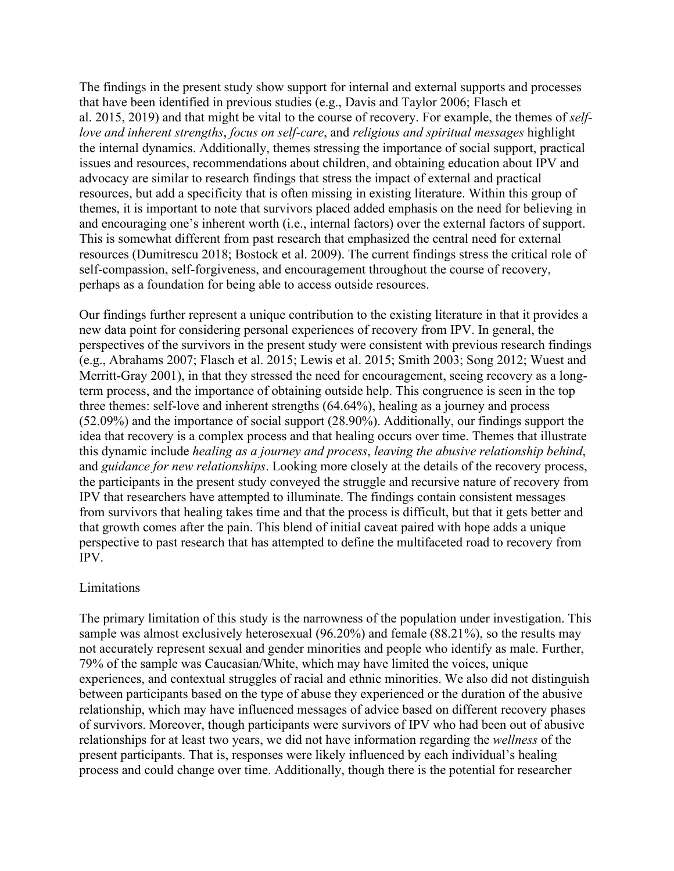The findings in the present study show support for internal and external supports and processes that have been identified in previous studies (e.g., Davis and Taylor 2006; Flasch et al. 2015, 2019) and that might be vital to the course of recovery. For example, the themes of *selflove and inherent strengths*, *focus on self-care*, and *religious and spiritual messages* highlight the internal dynamics. Additionally, themes stressing the importance of social support, practical issues and resources, recommendations about children, and obtaining education about IPV and advocacy are similar to research findings that stress the impact of external and practical resources, but add a specificity that is often missing in existing literature. Within this group of themes, it is important to note that survivors placed added emphasis on the need for believing in and encouraging one's inherent worth (i.e., internal factors) over the external factors of support. This is somewhat different from past research that emphasized the central need for external resources (Dumitrescu 2018; Bostock et al. 2009). The current findings stress the critical role of self-compassion, self-forgiveness, and encouragement throughout the course of recovery, perhaps as a foundation for being able to access outside resources.

Our findings further represent a unique contribution to the existing literature in that it provides a new data point for considering personal experiences of recovery from IPV. In general, the perspectives of the survivors in the present study were consistent with previous research findings (e.g., Abrahams 2007; Flasch et al. 2015; Lewis et al. 2015; Smith 2003; Song 2012; Wuest and Merritt-Gray 2001), in that they stressed the need for encouragement, seeing recovery as a longterm process, and the importance of obtaining outside help. This congruence is seen in the top three themes: self-love and inherent strengths (64.64%), healing as a journey and process (52.09%) and the importance of social support (28.90%). Additionally, our findings support the idea that recovery is a complex process and that healing occurs over time. Themes that illustrate this dynamic include *healing as a journey and process*, *leaving the abusive relationship behind*, and *guidance for new relationships*. Looking more closely at the details of the recovery process, the participants in the present study conveyed the struggle and recursive nature of recovery from IPV that researchers have attempted to illuminate. The findings contain consistent messages from survivors that healing takes time and that the process is difficult, but that it gets better and that growth comes after the pain. This blend of initial caveat paired with hope adds a unique perspective to past research that has attempted to define the multifaceted road to recovery from IPV.

### Limitations

The primary limitation of this study is the narrowness of the population under investigation. This sample was almost exclusively heterosexual (96.20%) and female (88.21%), so the results may not accurately represent sexual and gender minorities and people who identify as male. Further, 79% of the sample was Caucasian/White, which may have limited the voices, unique experiences, and contextual struggles of racial and ethnic minorities. We also did not distinguish between participants based on the type of abuse they experienced or the duration of the abusive relationship, which may have influenced messages of advice based on different recovery phases of survivors. Moreover, though participants were survivors of IPV who had been out of abusive relationships for at least two years, we did not have information regarding the *wellness* of the present participants. That is, responses were likely influenced by each individual's healing process and could change over time. Additionally, though there is the potential for researcher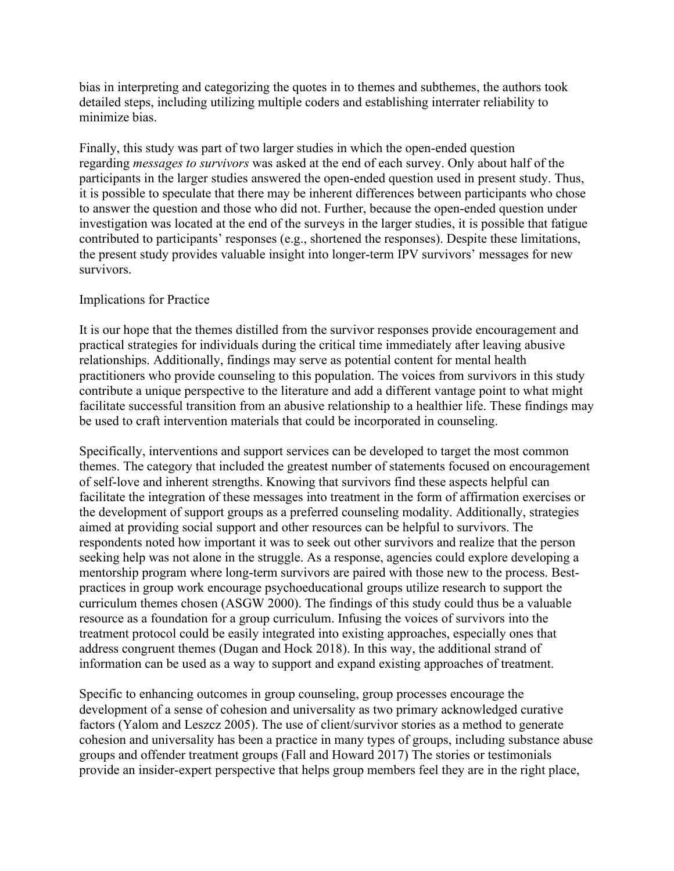bias in interpreting and categorizing the quotes in to themes and subthemes, the authors took detailed steps, including utilizing multiple coders and establishing interrater reliability to minimize bias.

Finally, this study was part of two larger studies in which the open-ended question regarding *messages to survivors* was asked at the end of each survey. Only about half of the participants in the larger studies answered the open-ended question used in present study. Thus, it is possible to speculate that there may be inherent differences between participants who chose to answer the question and those who did not. Further, because the open-ended question under investigation was located at the end of the surveys in the larger studies, it is possible that fatigue contributed to participants' responses (e.g., shortened the responses). Despite these limitations, the present study provides valuable insight into longer-term IPV survivors' messages for new survivors.

### Implications for Practice

It is our hope that the themes distilled from the survivor responses provide encouragement and practical strategies for individuals during the critical time immediately after leaving abusive relationships. Additionally, findings may serve as potential content for mental health practitioners who provide counseling to this population. The voices from survivors in this study contribute a unique perspective to the literature and add a different vantage point to what might facilitate successful transition from an abusive relationship to a healthier life. These findings may be used to craft intervention materials that could be incorporated in counseling.

Specifically, interventions and support services can be developed to target the most common themes. The category that included the greatest number of statements focused on encouragement of self-love and inherent strengths. Knowing that survivors find these aspects helpful can facilitate the integration of these messages into treatment in the form of affirmation exercises or the development of support groups as a preferred counseling modality. Additionally, strategies aimed at providing social support and other resources can be helpful to survivors. The respondents noted how important it was to seek out other survivors and realize that the person seeking help was not alone in the struggle. As a response, agencies could explore developing a mentorship program where long-term survivors are paired with those new to the process. Bestpractices in group work encourage psychoeducational groups utilize research to support the curriculum themes chosen (ASGW 2000). The findings of this study could thus be a valuable resource as a foundation for a group curriculum. Infusing the voices of survivors into the treatment protocol could be easily integrated into existing approaches, especially ones that address congruent themes (Dugan and Hock 2018). In this way, the additional strand of information can be used as a way to support and expand existing approaches of treatment.

Specific to enhancing outcomes in group counseling, group processes encourage the development of a sense of cohesion and universality as two primary acknowledged curative factors (Yalom and Leszcz 2005). The use of client/survivor stories as a method to generate cohesion and universality has been a practice in many types of groups, including substance abuse groups and offender treatment groups (Fall and Howard 2017) The stories or testimonials provide an insider-expert perspective that helps group members feel they are in the right place,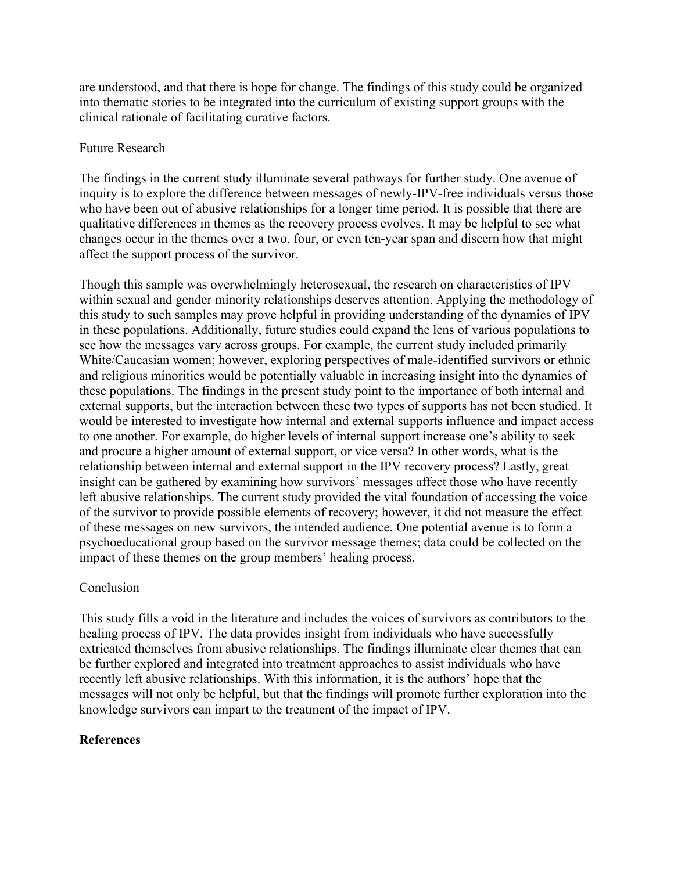are understood, and that there is hope for change. The findings of this study could be organized into thematic stories to be integrated into the curriculum of existing support groups with the clinical rationale of facilitating curative factors.

#### Future Research

The findings in the current study illuminate several pathways for further study. One avenue of inquiry is to explore the difference between messages of newly-IPV-free individuals versus those who have been out of abusive relationships for a longer time period. It is possible that there are qualitative differences in themes as the recovery process evolves. It may be helpful to see what changes occur in the themes over a two, four, or even ten-year span and discern how that might affect the support process of the survivor.

Though this sample was overwhelmingly heterosexual, the research on characteristics of IPV within sexual and gender minority relationships deserves attention. Applying the methodology of this study to such samples may prove helpful in providing understanding of the dynamics of IPV in these populations. Additionally, future studies could expand the lens of various populations to see how the messages vary across groups. For example, the current study included primarily White/Caucasian women; however, exploring perspectives of male-identified survivors or ethnic and religious minorities would be potentially valuable in increasing insight into the dynamics of these populations. The findings in the present study point to the importance of both internal and external supports, but the interaction between these two types of supports has not been studied. It would be interested to investigate how internal and external supports influence and impact access to one another. For example, do higher levels of internal support increase one's ability to seek and procure a higher amount of external support, or vice versa? In other words, what is the relationship between internal and external support in the IPV recovery process? Lastly, great insight can be gathered by examining how survivors' messages affect those who have recently left abusive relationships. The current study provided the vital foundation of accessing the voice of the survivor to provide possible elements of recovery; however, it did not measure the effect of these messages on new survivors, the intended audience. One potential avenue is to form a psychoeducational group based on the survivor message themes; data could be collected on the impact of these themes on the group members' healing process.

### Conclusion

This study fills a void in the literature and includes the voices of survivors as contributors to the healing process of IPV. The data provides insight from individuals who have successfully extricated themselves from abusive relationships. The findings illuminate clear themes that can be further explored and integrated into treatment approaches to assist individuals who have recently left abusive relationships. With this information, it is the authors' hope that the messages will not only be helpful, but that the findings will promote further exploration into the knowledge survivors can impart to the treatment of the impact of IPV.

### **References**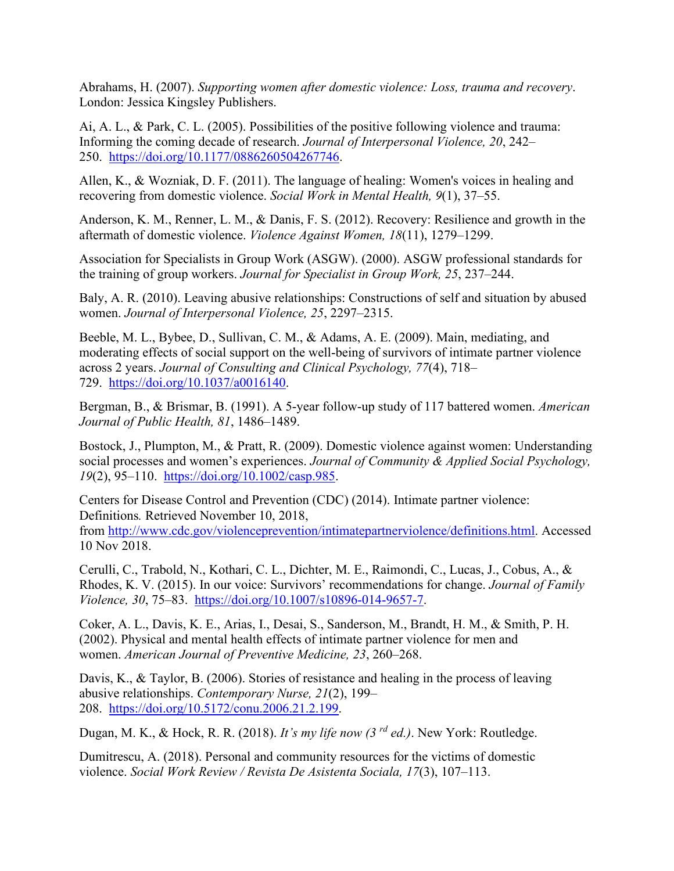Abrahams, H. (2007). *Supporting women after domestic violence: Loss, trauma and recovery*. London: Jessica Kingsley Publishers.

Ai, A. L., & Park, C. L. (2005). Possibilities of the positive following violence and trauma: Informing the coming decade of research. *Journal of Interpersonal Violence, 20*, 242– 250. [https://doi.org/10.1177/0886260504267746.](https://doi.org/10.1177/0886260504267746)

Allen, K., & Wozniak, D. F. (2011). The language of healing: Women's voices in healing and recovering from domestic violence. *Social Work in Mental Health, 9*(1), 37–55.

Anderson, K. M., Renner, L. M., & Danis, F. S. (2012). Recovery: Resilience and growth in the aftermath of domestic violence. *Violence Against Women, 18*(11), 1279–1299.

Association for Specialists in Group Work (ASGW). (2000). ASGW professional standards for the training of group workers. *Journal for Specialist in Group Work, 25*, 237–244.

Baly, A. R. (2010). Leaving abusive relationships: Constructions of self and situation by abused women. *Journal of Interpersonal Violence, 25*, 2297–2315.

Beeble, M. L., Bybee, D., Sullivan, C. M., & Adams, A. E. (2009). Main, mediating, and moderating effects of social support on the well-being of survivors of intimate partner violence across 2 years. *Journal of Consulting and Clinical Psychology, 77*(4), 718– 729. [https://doi.org/10.1037/a0016140.](https://doi.org/10.1037/a0016140)

Bergman, B., & Brismar, B. (1991). A 5-year follow-up study of 117 battered women. *American Journal of Public Health, 81*, 1486–1489.

Bostock, J., Plumpton, M., & Pratt, R. (2009). Domestic violence against women: Understanding social processes and women's experiences. *Journal of Community & Applied Social Psychology, 19*(2), 95–110. [https://doi.org/10.1002/casp.985.](https://doi.org/10.1002/casp.985)

Centers for Disease Control and Prevention (CDC) (2014). Intimate partner violence: Definitions*.* Retrieved November 10, 2018, from [http://www.cdc.gov/violenceprevention/intimatepartnerviolence/definitions.html.](http://www.cdc.gov/violenceprevention/intimatepartnerviolence/definitions.html) Accessed 10 Nov 2018.

Cerulli, C., Trabold, N., Kothari, C. L., Dichter, M. E., Raimondi, C., Lucas, J., Cobus, A., & Rhodes, K. V. (2015). In our voice: Survivors' recommendations for change. *Journal of Family Violence, 30*, 75–83. [https://doi.org/10.1007/s10896-014-9657-7.](https://doi.org/10.1007/s10896-014-9657-7)

Coker, A. L., Davis, K. E., Arias, I., Desai, S., Sanderson, M., Brandt, H. M., & Smith, P. H. (2002). Physical and mental health effects of intimate partner violence for men and women. *American Journal of Preventive Medicine, 23*, 260–268.

Davis, K., & Taylor, B. (2006). Stories of resistance and healing in the process of leaving abusive relationships. *Contemporary Nurse, 21*(2), 199– 208. [https://doi.org/10.5172/conu.2006.21.2.199.](https://doi.org/10.5172/conu.2006.21.2.199)

Dugan, M. K., & Hock, R. R. (2018). *It's my life now (3 rd ed.)*. New York: Routledge.

Dumitrescu, A. (2018). Personal and community resources for the victims of domestic violence. *Social Work Review / Revista De Asistenta Sociala, 17*(3), 107–113.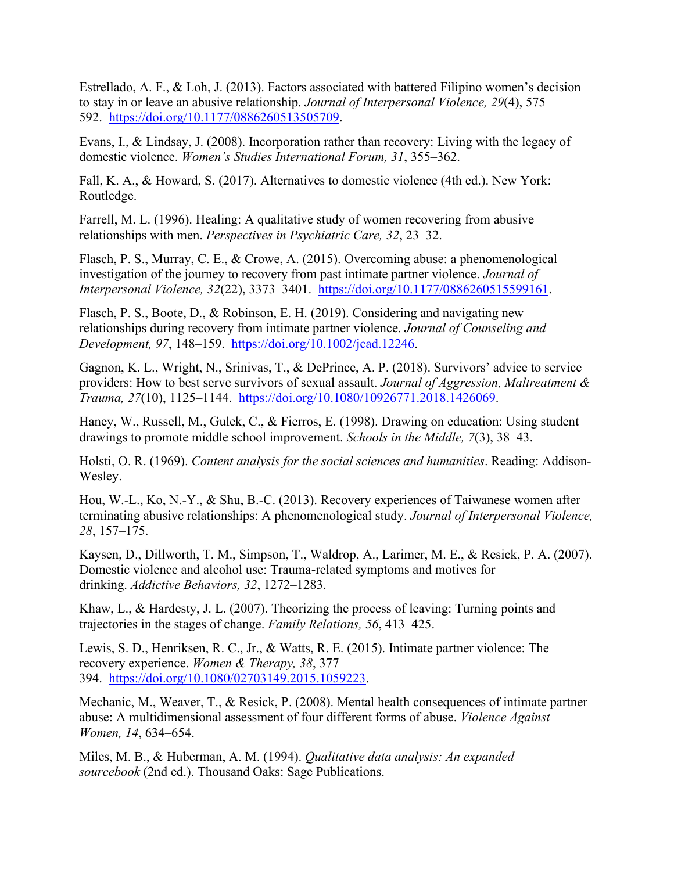Estrellado, A. F., & Loh, J. (2013). Factors associated with battered Filipino women's decision to stay in or leave an abusive relationship. *Journal of Interpersonal Violence, 29*(4), 575– 592. [https://doi.org/10.1177/0886260513505709.](https://doi.org/10.1177/0886260513505709)

Evans, I., & Lindsay, J. (2008). Incorporation rather than recovery: Living with the legacy of domestic violence. *Women's Studies International Forum, 31*, 355–362.

Fall, K. A., & Howard, S. (2017). Alternatives to domestic violence (4th ed.). New York: Routledge.

Farrell, M. L. (1996). Healing: A qualitative study of women recovering from abusive relationships with men. *Perspectives in Psychiatric Care, 32*, 23–32.

Flasch, P. S., Murray, C. E., & Crowe, A. (2015). Overcoming abuse: a phenomenological investigation of the journey to recovery from past intimate partner violence. *Journal of Interpersonal Violence, 32*(22), 3373–3401. [https://doi.org/10.1177/0886260515599161.](https://doi.org/10.1177/0886260515599161)

Flasch, P. S., Boote, D., & Robinson, E. H. (2019). Considering and navigating new relationships during recovery from intimate partner violence. *Journal of Counseling and Development, 97*, 148–159. [https://doi.org/10.1002/jcad.12246.](https://doi.org/10.1002/jcad.12246)

Gagnon, K. L., Wright, N., Srinivas, T., & DePrince, A. P. (2018). Survivors' advice to service providers: How to best serve survivors of sexual assault. *Journal of Aggression, Maltreatment & Trauma, 27*(10), 1125–1144. [https://doi.org/10.1080/10926771.2018.1426069.](https://doi.org/10.1080/10926771.2018.1426069)

Haney, W., Russell, M., Gulek, C., & Fierros, E. (1998). Drawing on education: Using student drawings to promote middle school improvement. *Schools in the Middle, 7*(3), 38–43.

Holsti, O. R. (1969). *Content analysis for the social sciences and humanities*. Reading: Addison-Wesley.

Hou, W.-L., Ko, N.-Y., & Shu, B.-C. (2013). Recovery experiences of Taiwanese women after terminating abusive relationships: A phenomenological study. *Journal of Interpersonal Violence, 28*, 157–175.

Kaysen, D., Dillworth, T. M., Simpson, T., Waldrop, A., Larimer, M. E., & Resick, P. A. (2007). Domestic violence and alcohol use: Trauma-related symptoms and motives for drinking. *Addictive Behaviors, 32*, 1272–1283.

Khaw, L., & Hardesty, J. L. (2007). Theorizing the process of leaving: Turning points and trajectories in the stages of change. *Family Relations, 56*, 413–425.

Lewis, S. D., Henriksen, R. C., Jr., & Watts, R. E. (2015). Intimate partner violence: The recovery experience. *Women & Therapy, 38*, 377– 394. [https://doi.org/10.1080/02703149.2015.1059223.](https://doi.org/10.1080/02703149.2015.1059223)

Mechanic, M., Weaver, T., & Resick, P. (2008). Mental health consequences of intimate partner abuse: A multidimensional assessment of four different forms of abuse. *Violence Against Women, 14*, 634–654.

Miles, M. B., & Huberman, A. M. (1994). *Qualitative data analysis: An expanded sourcebook* (2nd ed.). Thousand Oaks: Sage Publications.